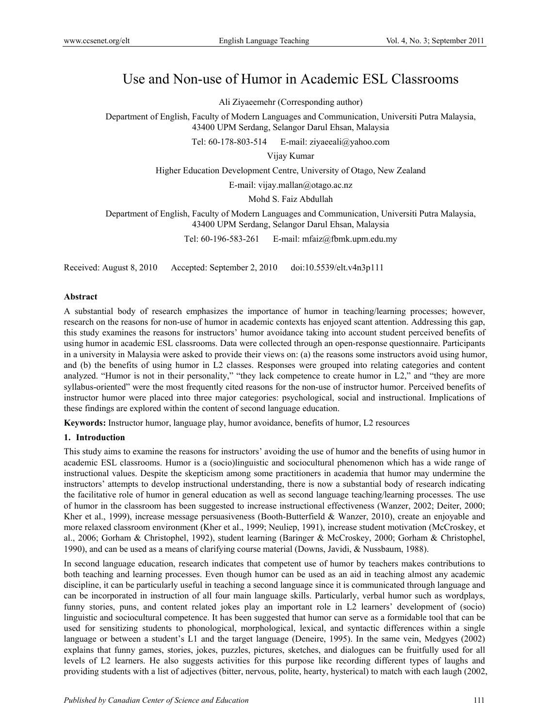# Use and Non-use of Humor in Academic ESL Classrooms

Ali Ziyaeemehr (Corresponding author)

Department of English, Faculty of Modern Languages and Communication, Universiti Putra Malaysia,

43400 UPM Serdang, Selangor Darul Ehsan, Malaysia

Tel: 60-178-803-514 E-mail: ziyaeeali@yahoo.com

Vijay Kumar

Higher Education Development Centre, University of Otago, New Zealand

E-mail: vijay.mallan@otago.ac.nz

Mohd S. Faiz Abdullah

Department of English, Faculty of Modern Languages and Communication, Universiti Putra Malaysia, 43400 UPM Serdang, Selangor Darul Ehsan, Malaysia

Tel: 60-196-583-261 E-mail: mfaiz@fbmk.upm.edu.my

Received: August 8, 2010 Accepted: September 2, 2010 doi:10.5539/elt.v4n3p111

#### **Abstract**

A substantial body of research emphasizes the importance of humor in teaching/learning processes; however, research on the reasons for non-use of humor in academic contexts has enjoyed scant attention. Addressing this gap, this study examines the reasons for instructors' humor avoidance taking into account student perceived benefits of using humor in academic ESL classrooms. Data were collected through an open-response questionnaire. Participants in a university in Malaysia were asked to provide their views on: (a) the reasons some instructors avoid using humor, and (b) the benefits of using humor in L2 classes. Responses were grouped into relating categories and content analyzed. "Humor is not in their personality," "they lack competence to create humor in L2," and "they are more syllabus-oriented" were the most frequently cited reasons for the non-use of instructor humor. Perceived benefits of instructor humor were placed into three major categories: psychological, social and instructional. Implications of these findings are explored within the content of second language education.

**Keywords:** Instructor humor, language play, humor avoidance, benefits of humor, L2 resources

# **1. Introduction**

This study aims to examine the reasons for instructors' avoiding the use of humor and the benefits of using humor in academic ESL classrooms. Humor is a (socio)linguistic and sociocultural phenomenon which has a wide range of instructional values. Despite the skepticism among some practitioners in academia that humor may undermine the instructors' attempts to develop instructional understanding, there is now a substantial body of research indicating the facilitative role of humor in general education as well as second language teaching/learning processes. The use of humor in the classroom has been suggested to increase instructional effectiveness (Wanzer, 2002; Deiter, 2000; Kher et al., 1999), increase message persuasiveness (Booth-Butterfield & Wanzer, 2010), create an enjoyable and more relaxed classroom environment (Kher et al., 1999; Neuliep, 1991), increase student motivation (McCroskey, et al., 2006; Gorham & Christophel, 1992), student learning (Baringer & McCroskey, 2000; Gorham & Christophel, 1990), and can be used as a means of clarifying course material (Downs, Javidi, & Nussbaum, 1988).

In second language education, research indicates that competent use of humor by teachers makes contributions to both teaching and learning processes. Even though humor can be used as an aid in teaching almost any academic discipline, it can be particularly useful in teaching a second language since it is communicated through language and can be incorporated in instruction of all four main language skills. Particularly, verbal humor such as wordplays, funny stories, puns, and content related jokes play an important role in L2 learners' development of (socio) linguistic and sociocultural competence. It has been suggested that humor can serve as a formidable tool that can be used for sensitizing students to phonological, morphological, lexical, and syntactic differences within a single language or between a student's L1 and the target language (Deneire, 1995). In the same vein, Medgyes (2002) explains that funny games, stories, jokes, puzzles, pictures, sketches, and dialogues can be fruitfully used for all levels of L2 learners. He also suggests activities for this purpose like recording different types of laughs and providing students with a list of adjectives (bitter, nervous, polite, hearty, hysterical) to match with each laugh (2002,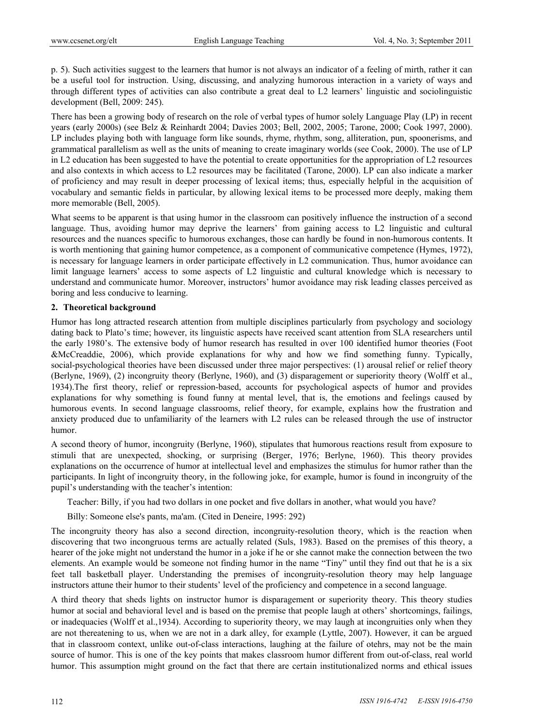p. 5). Such activities suggest to the learners that humor is not always an indicator of a feeling of mirth, rather it can be a useful tool for instruction. Using, discussing, and analyzing humorous interaction in a variety of ways and through different types of activities can also contribute a great deal to L2 learners' linguistic and sociolinguistic development (Bell, 2009: 245).

There has been a growing body of research on the role of verbal types of humor solely Language Play (LP) in recent years (early 2000s) (see Belz & Reinhardt 2004; Davies 2003; Bell, 2002, 2005; Tarone, 2000; Cook 1997, 2000). LP includes playing both with language form like sounds, rhyme, rhythm, song, alliteration, pun, spoonerisms, and grammatical parallelism as well as the units of meaning to create imaginary worlds (see Cook, 2000). The use of LP in L2 education has been suggested to have the potential to create opportunities for the appropriation of L2 resources and also contexts in which access to L2 resources may be facilitated (Tarone, 2000). LP can also indicate a marker of proficiency and may result in deeper processing of lexical items; thus, especially helpful in the acquisition of vocabulary and semantic fields in particular, by allowing lexical items to be processed more deeply, making them more memorable (Bell, 2005).

What seems to be apparent is that using humor in the classroom can positively influence the instruction of a second language. Thus, avoiding humor may deprive the learners' from gaining access to L2 linguistic and cultural resources and the nuances specific to humorous exchanges, those can hardly be found in non-humorous contents. It is worth mentioning that gaining humor competence, as a component of communicative competence (Hymes, 1972), is necessary for language learners in order participate effectively in L2 communication. Thus, humor avoidance can limit language learners' access to some aspects of L2 linguistic and cultural knowledge which is necessary to understand and communicate humor. Moreover, instructors' humor avoidance may risk leading classes perceived as boring and less conducive to learning.

# **2. Theoretical background**

Humor has long attracted research attention from multiple disciplines particularly from psychology and sociology dating back to Plato's time; however, its linguistic aspects have received scant attention from SLA researchers until the early 1980's. The extensive body of humor research has resulted in over 100 identified humor theories (Foot &McCreaddie, 2006), which provide explanations for why and how we find something funny. Typically, social-psychological theories have been discussed under three major perspectives: (1) arousal relief or relief theory (Berlyne, 1969), (2) incongruity theory (Berlyne, 1960), and (3) disparagement or superiority theory (Wolff et al., 1934).The first theory, relief or repression-based, accounts for psychological aspects of humor and provides explanations for why something is found funny at mental level, that is, the emotions and feelings caused by humorous events. In second language classrooms, relief theory, for example, explains how the frustration and anxiety produced due to unfamiliarity of the learners with L2 rules can be released through the use of instructor humor.

A second theory of humor, incongruity (Berlyne, 1960), stipulates that humorous reactions result from exposure to stimuli that are unexpected, shocking, or surprising (Berger, 1976; Berlyne, 1960). This theory provides explanations on the occurrence of humor at intellectual level and emphasizes the stimulus for humor rather than the participants. In light of incongruity theory, in the following joke, for example, humor is found in incongruity of the pupil's understanding with the teacher's intention:

Teacher: Billy, if you had two dollars in one pocket and five dollars in another, what would you have?

Billy: Someone else's pants, ma'am. (Cited in Deneire, 1995: 292)

The incongruity theory has also a second direction, incongruity-resolution theory, which is the reaction when discovering that two incongruous terms are actually related (Suls, 1983). Based on the premises of this theory, a hearer of the joke might not understand the humor in a joke if he or she cannot make the connection between the two elements. An example would be someone not finding humor in the name "Tiny" until they find out that he is a six feet tall basketball player. Understanding the premises of incongruity-resolution theory may help language instructors attune their humor to their students' level of the proficiency and competence in a second language.

A third theory that sheds lights on instructor humor is disparagement or superiority theory. This theory studies humor at social and behavioral level and is based on the premise that people laugh at others' shortcomings, failings, or inadequacies (Wolff et al.,1934). According to superiority theory, we may laugh at incongruities only when they are not thereatening to us, when we are not in a dark alley, for example (Lyttle, 2007). However, it can be argued that in classroom context, unlike out-of-class interactions, laughing at the failure of otehrs, may not be the main source of humor. This is one of the key points that makes classroom humor different from out-of-class, real world humor. This assumption might ground on the fact that there are certain institutionalized norms and ethical issues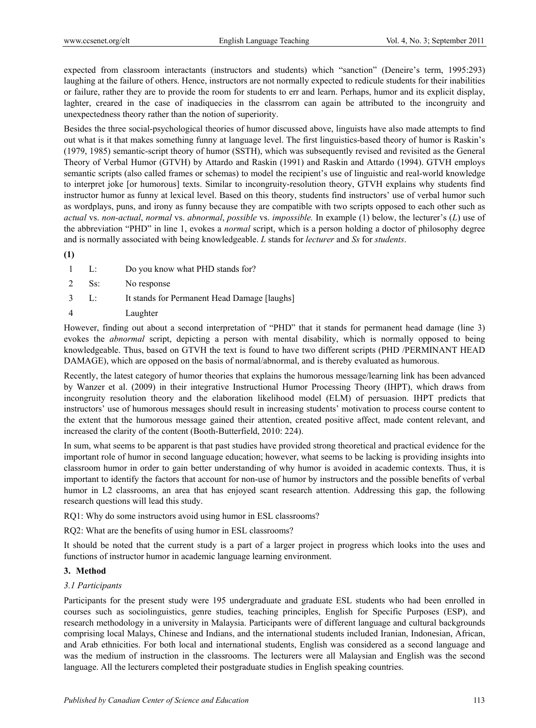expected from classroom interactants (instructors and students) which "sanction" (Deneire's term, 1995:293) laughing at the failure of others. Hence, instructors are not normally expected to redicule students for their inabilities or failure, rather they are to provide the room for students to err and learn. Perhaps, humor and its explicit display, laghter, creared in the case of inadiquecies in the classrrom can again be attributed to the incongruity and unexpectedness theory rather than the notion of superiority.

Besides the three social-psychological theories of humor discussed above, linguists have also made attempts to find out what is it that makes something funny at language level. The first linguistics-based theory of humor is Raskin's (1979, 1985) semantic-script theory of humor (SSTH), which was subsequently revised and revisited as the General Theory of Verbal Humor (GTVH) by Attardo and Raskin (1991) and Raskin and Attardo (1994). GTVH employs semantic scripts (also called frames or schemas) to model the recipient's use of linguistic and real-world knowledge to interpret joke [or humorous] texts. Similar to incongruity-resolution theory, GTVH explains why students find instructor humor as funny at lexical level. Based on this theory, students find instructors' use of verbal humor such as wordplays, puns, and irony as funny because they are compatible with two scripts opposed to each other such as *actual* vs. *non-actual*, *normal* vs. *abnormal*, *possible* vs. *impossible.* In example (1) below, the lecturer's (*L*) use of the abbreviation "PHD" in line 1, evokes a *normal* script, which is a person holding a doctor of philosophy degree and is normally associated with being knowledgeable. *L* stands for *lecturer* and *Ss* for *students*.

# **(1)**

- 1 L: Do you know what PHD stands for?
- 2 Ss: No response
- 3 L: It stands for Permanent Head Damage [laughs]
- 4 Laughter

However, finding out about a second interpretation of "PHD" that it stands for permanent head damage (line 3) evokes the *abnormal* script, depicting a person with mental disability, which is normally opposed to being knowledgeable. Thus, based on GTVH the text is found to have two different scripts (PHD /PERMINANT HEAD DAMAGE), which are opposed on the basis of normal/abnormal, and is thereby evaluated as humorous.

Recently, the latest category of humor theories that explains the humorous message/learning link has been advanced by Wanzer et al. (2009) in their integrative Instructional Humor Processing Theory (IHPT), which draws from incongruity resolution theory and the elaboration likelihood model (ELM) of persuasion. IHPT predicts that instructors' use of humorous messages should result in increasing students' motivation to process course content to the extent that the humorous message gained their attention, created positive affect, made content relevant, and increased the clarity of the content (Booth-Butterfield, 2010: 224).

In sum, what seems to be apparent is that past studies have provided strong theoretical and practical evidence for the important role of humor in second language education; however, what seems to be lacking is providing insights into classroom humor in order to gain better understanding of why humor is avoided in academic contexts. Thus, it is important to identify the factors that account for non-use of humor by instructors and the possible benefits of verbal humor in L2 classrooms, an area that has enjoyed scant research attention. Addressing this gap, the following research questions will lead this study.

RQ1: Why do some instructors avoid using humor in ESL classrooms?

RQ2: What are the benefits of using humor in ESL classrooms?

It should be noted that the current study is a part of a larger project in progress which looks into the uses and functions of instructor humor in academic language learning environment.

# **3. Method**

# *3.1 Participants*

Participants for the present study were 195 undergraduate and graduate ESL students who had been enrolled in courses such as sociolinguistics, genre studies, teaching principles, English for Specific Purposes (ESP), and research methodology in a university in Malaysia. Participants were of different language and cultural backgrounds comprising local Malays, Chinese and Indians, and the international students included Iranian, Indonesian, African, and Arab ethnicities. For both local and international students, English was considered as a second language and was the medium of instruction in the classrooms. The lecturers were all Malaysian and English was the second language. All the lecturers completed their postgraduate studies in English speaking countries.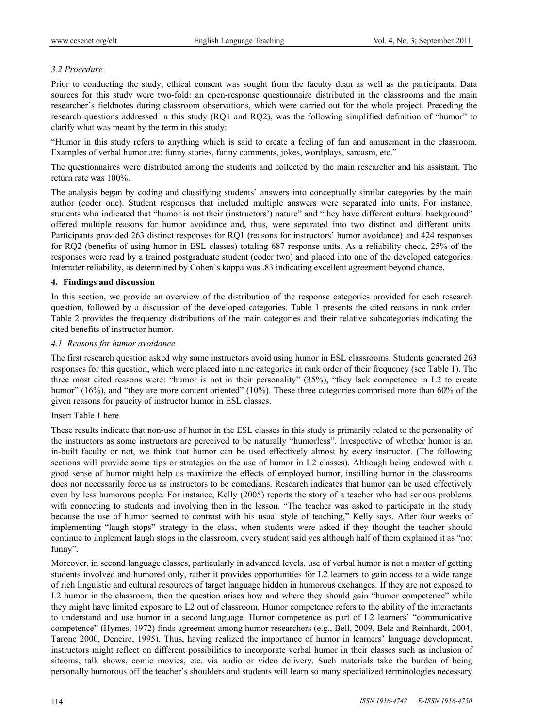# *3.2 Procedure*

Prior to conducting the study, ethical consent was sought from the faculty dean as well as the participants. Data sources for this study were two-fold: an open-response questionnaire distributed in the classrooms and the main researcher's fieldnotes during classroom observations, which were carried out for the whole project. Preceding the research questions addressed in this study (RQ1 and RQ2), was the following simplified definition of "humor" to clarify what was meant by the term in this study:

"Humor in this study refers to anything which is said to create a feeling of fun and amusement in the classroom. Examples of verbal humor are: funny stories, funny comments, jokes, wordplays, sarcasm, etc."

The questionnaires were distributed among the students and collected by the main researcher and his assistant. The return rate was 100%.

The analysis began by coding and classifying students' answers into conceptually similar categories by the main author (coder one). Student responses that included multiple answers were separated into units. For instance, students who indicated that "humor is not their (instructors') nature" and "they have different cultural background" offered multiple reasons for humor avoidance and, thus, were separated into two distinct and different units. Participants provided 263 distinct responses for RQ1 (reasons for instructors' humor avoidance) and 424 responses for RQ2 (benefits of using humor in ESL classes) totaling 687 response units. As a reliability check, 25% of the responses were read by a trained postgraduate student (coder two) and placed into one of the developed categories. Interrater reliability, as determined by Cohen's kappa was .83 indicating excellent agreement beyond chance.

# **4. Findings and discussion**

In this section, we provide an overview of the distribution of the response categories provided for each research question, followed by a discussion of the developed categories. Table 1 presents the cited reasons in rank order. Table 2 provides the frequency distributions of the main categories and their relative subcategories indicating the cited benefits of instructor humor.

# *4.1 Reasons for humor avoidance*

The first research question asked why some instructors avoid using humor in ESL classrooms. Students generated 263 responses for this question, which were placed into nine categories in rank order of their frequency (see Table 1). The three most cited reasons were: "humor is not in their personality" (35%), "they lack competence in L2 to create humor" (16%), and "they are more content oriented" (10%). These three categories comprised more than 60% of the given reasons for paucity of instructor humor in ESL classes.

# Insert Table 1 here

These results indicate that non-use of humor in the ESL classes in this study is primarily related to the personality of the instructors as some instructors are perceived to be naturally "humorless". Irrespective of whether humor is an in-built faculty or not, we think that humor can be used effectively almost by every instructor. (The following sections will provide some tips or strategies on the use of humor in L2 classes). Although being endowed with a good sense of humor might help us maximize the effects of employed humor, instilling humor in the classrooms does not necessarily force us as instructors to be comedians. Research indicates that humor can be used effectively even by less humorous people. For instance, Kelly (2005) reports the story of a teacher who had serious problems with connecting to students and involving then in the lesson. "The teacher was asked to participate in the study because the use of humor seemed to contrast with his usual style of teaching," Kelly says. After four weeks of implementing "laugh stops" strategy in the class, when students were asked if they thought the teacher should continue to implement laugh stops in the classroom, every student said yes although half of them explained it as "not funny".

Moreover, in second language classes, particularly in advanced levels, use of verbal humor is not a matter of getting students involved and humored only, rather it provides opportunities for L2 learners to gain access to a wide range of rich linguistic and cultural resources of target language hidden in humorous exchanges. If they are not exposed to L2 humor in the classroom, then the question arises how and where they should gain "humor competence" while they might have limited exposure to L2 out of classroom. Humor competence refers to the ability of the interactants to understand and use humor in a second language. Humor competence as part of L2 learners' "communicative competence" (Hymes, 1972) finds agreement among humor researchers (e.g., Bell, 2009, Belz and Reinhardt, 2004, Tarone 2000, Deneire, 1995). Thus, having realized the importance of humor in learners' language development, instructors might reflect on different possibilities to incorporate verbal humor in their classes such as inclusion of sitcoms, talk shows, comic movies, etc. via audio or video delivery. Such materials take the burden of being personally humorous off the teacher's shoulders and students will learn so many specialized terminologies necessary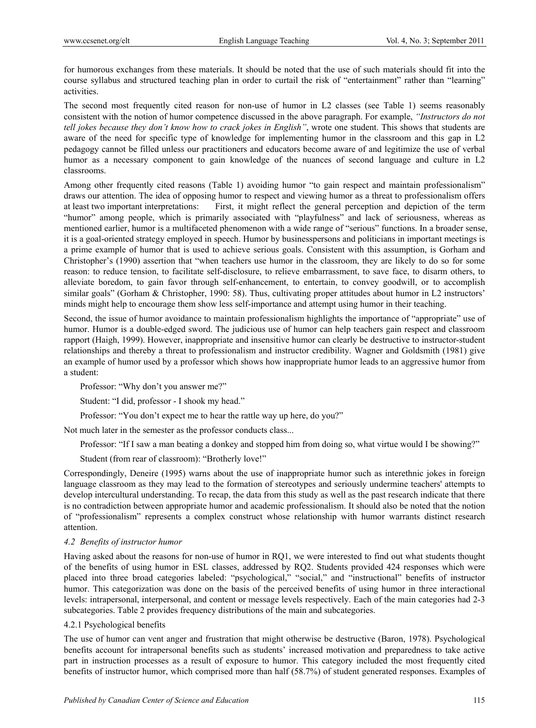for humorous exchanges from these materials. It should be noted that the use of such materials should fit into the course syllabus and structured teaching plan in order to curtail the risk of "entertainment" rather than "learning" activities.

The second most frequently cited reason for non-use of humor in L2 classes (see Table 1) seems reasonably consistent with the notion of humor competence discussed in the above paragraph. For example, *"Instructors do not tell jokes because they don't know how to crack jokes in English"*, wrote one student. This shows that students are aware of the need for specific type of knowledge for implementing humor in the classroom and this gap in L2 pedagogy cannot be filled unless our practitioners and educators become aware of and legitimize the use of verbal humor as a necessary component to gain knowledge of the nuances of second language and culture in L2 classrooms.

Among other frequently cited reasons (Table 1) avoiding humor "to gain respect and maintain professionalism" draws our attention. The idea of opposing humor to respect and viewing humor as a threat to professionalism offers at least two important interpretations: First, it might reflect the general perception and depiction of the term "humor" among people, which is primarily associated with "playfulness" and lack of seriousness, whereas as mentioned earlier, humor is a multifaceted phenomenon with a wide range of "serious" functions. In a broader sense, it is a goal-oriented strategy employed in speech. Humor by businesspersons and politicians in important meetings is a prime example of humor that is used to achieve serious goals. Consistent with this assumption, is Gorham and Christopher's (1990) assertion that "when teachers use humor in the classroom, they are likely to do so for some reason: to reduce tension, to facilitate self-disclosure, to relieve embarrassment, to save face, to disarm others, to alleviate boredom, to gain favor through self-enhancement, to entertain, to convey goodwill, or to accomplish similar goals" (Gorham & Christopher, 1990: 58). Thus, cultivating proper attitudes about humor in L2 instructors' minds might help to encourage them show less self-importance and attempt using humor in their teaching.

Second, the issue of humor avoidance to maintain professionalism highlights the importance of "appropriate" use of humor. Humor is a double-edged sword. The judicious use of humor can help teachers gain respect and classroom rapport (Haigh, 1999). However, inappropriate and insensitive humor can clearly be destructive to instructor-student relationships and thereby a threat to professionalism and instructor credibility. Wagner and Goldsmith (1981) give an example of humor used by a professor which shows how inappropriate humor leads to an aggressive humor from a student:

Professor: "Why don't you answer me?"

Student: "I did, professor - I shook my head."

Professor: "You don't expect me to hear the rattle way up here, do you?"

Not much later in the semester as the professor conducts class...

Professor: "If I saw a man beating a donkey and stopped him from doing so, what virtue would I be showing?"

Student (from rear of classroom): "Brotherly love!"

Correspondingly, Deneire (1995) warns about the use of inappropriate humor such as interethnic jokes in foreign language classroom as they may lead to the formation of stereotypes and seriously undermine teachers' attempts to develop intercultural understanding. To recap, the data from this study as well as the past research indicate that there is no contradiction between appropriate humor and academic professionalism. It should also be noted that the notion of "professionalism" represents a complex construct whose relationship with humor warrants distinct research attention.

# *4.2 Benefits of instructor humor*

Having asked about the reasons for non-use of humor in RQ1, we were interested to find out what students thought of the benefits of using humor in ESL classes, addressed by RQ2. Students provided 424 responses which were placed into three broad categories labeled: "psychological," "social," and "instructional" benefits of instructor humor. This categorization was done on the basis of the perceived benefits of using humor in three interactional levels: intrapersonal, interpersonal, and content or message levels respectively. Each of the main categories had 2-3 subcategories. Table 2 provides frequency distributions of the main and subcategories.

# 4.2.1 Psychological benefits

The use of humor can vent anger and frustration that might otherwise be destructive (Baron, 1978). Psychological benefits account for intrapersonal benefits such as students' increased motivation and preparedness to take active part in instruction processes as a result of exposure to humor. This category included the most frequently cited benefits of instructor humor, which comprised more than half (58.7%) of student generated responses. Examples of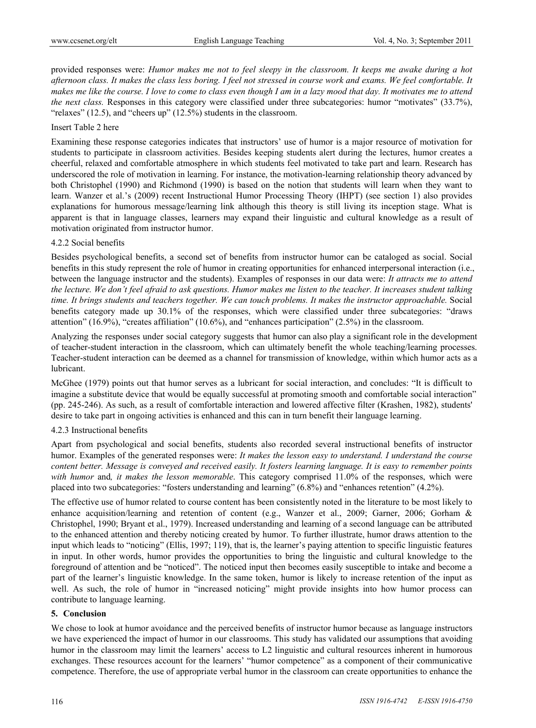provided responses were: *Humor makes me not to feel sleepy in the classroom. It keeps me awake during a hot afternoon class. It makes the class less boring. I feel not stressed in course work and exams. We feel comfortable. It makes me like the course. I love to come to class even though I am in a lazy mood that day. It motivates me to attend the next class.* Responses in this category were classified under three subcategories: humor "motivates" (33.7%), "relaxes" (12.5), and "cheers up" (12.5%) students in the classroom.

#### Insert Table 2 here

Examining these response categories indicates that instructors' use of humor is a major resource of motivation for students to participate in classroom activities. Besides keeping students alert during the lectures, humor creates a cheerful, relaxed and comfortable atmosphere in which students feel motivated to take part and learn. Research has underscored the role of motivation in learning. For instance, the motivation-learning relationship theory advanced by both Christophel (1990) and Richmond (1990) is based on the notion that students will learn when they want to learn. Wanzer et al.'s (2009) recent Instructional Humor Processing Theory (IHPT) (see section 1) also provides explanations for humorous message/learning link although this theory is still living its inception stage. What is apparent is that in language classes, learners may expand their linguistic and cultural knowledge as a result of motivation originated from instructor humor.

# 4.2.2 Social benefits

Besides psychological benefits, a second set of benefits from instructor humor can be cataloged as social. Social benefits in this study represent the role of humor in creating opportunities for enhanced interpersonal interaction (i.e., between the language instructor and the students). Examples of responses in our data were: *It attracts me to attend the lecture. We don't feel afraid to ask questions. Humor makes me listen to the teacher. It increases student talking time. It brings students and teachers together. We can touch problems. It makes the instructor approachable.* Social benefits category made up 30.1% of the responses, which were classified under three subcategories: "draws attention" (16.9%), "creates affiliation" (10.6%), and "enhances participation" (2.5%) in the classroom.

Analyzing the responses under social category suggests that humor can also play a significant role in the development of teacher-student interaction in the classroom, which can ultimately benefit the whole teaching/learning processes. Teacher-student interaction can be deemed as a channel for transmission of knowledge, within which humor acts as a lubricant.

McGhee (1979) points out that humor serves as a lubricant for social interaction, and concludes: "It is difficult to imagine a substitute device that would be equally successful at promoting smooth and comfortable social interaction" (pp. 245-246). As such, as a result of comfortable interaction and lowered affective filter (Krashen, 1982), students' desire to take part in ongoing activities is enhanced and this can in turn benefit their language learning.

# 4.2.3 Instructional benefits

Apart from psychological and social benefits, students also recorded several instructional benefits of instructor humor. Examples of the generated responses were: *It makes the lesson easy to understand. I understand the course content better. Message is conveyed and received easily. It fosters learning language. It is easy to remember points with humor* and*, it makes the lesson memorable*. This category comprised 11.0% of the responses, which were placed into two subcategories: "fosters understanding and learning" (6.8%) and "enhances retention" (4.2%).

The effective use of humor related to course content has been consistently noted in the literature to be most likely to enhance acquisition/learning and retention of content (e.g., Wanzer et al., 2009; Garner, 2006; Gorham & Christophel, 1990; Bryant et al., 1979). Increased understanding and learning of a second language can be attributed to the enhanced attention and thereby noticing created by humor. To further illustrate, humor draws attention to the input which leads to "noticing" (Ellis, 1997; 119), that is, the learner's paying attention to specific linguistic features in input. In other words, humor provides the opportunities to bring the linguistic and cultural knowledge to the foreground of attention and be "noticed". The noticed input then becomes easily susceptible to intake and become a part of the learner's linguistic knowledge. In the same token, humor is likely to increase retention of the input as well. As such, the role of humor in "increased noticing" might provide insights into how humor process can contribute to language learning.

#### **5. Conclusion**

We chose to look at humor avoidance and the perceived benefits of instructor humor because as language instructors we have experienced the impact of humor in our classrooms. This study has validated our assumptions that avoiding humor in the classroom may limit the learners' access to L2 linguistic and cultural resources inherent in humorous exchanges. These resources account for the learners' "humor competence" as a component of their communicative competence. Therefore, the use of appropriate verbal humor in the classroom can create opportunities to enhance the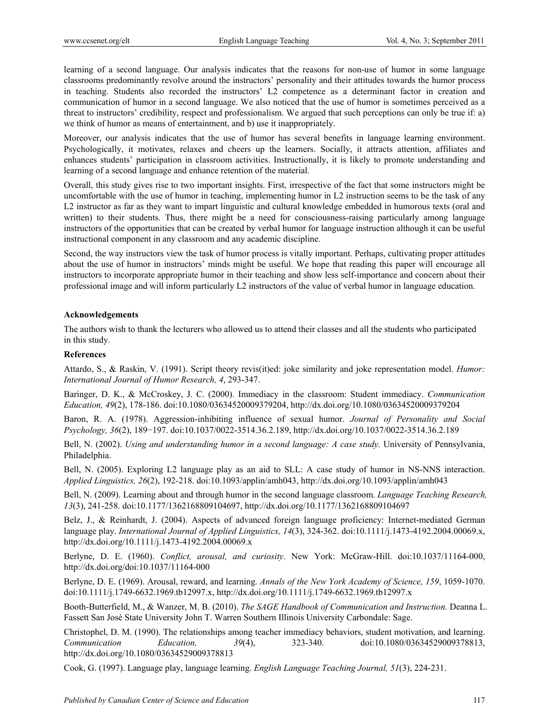learning of a second language. Our analysis indicates that the reasons for non-use of humor in some language classrooms predominantly revolve around the instructors' personality and their attitudes towards the humor process in teaching. Students also recorded the instructors' L2 competence as a determinant factor in creation and communication of humor in a second language. We also noticed that the use of humor is sometimes perceived as a threat to instructors' credibility, respect and professionalism. We argued that such perceptions can only be true if: a) we think of humor as means of entertainment, and b) use it inappropriately.

Moreover, our analysis indicates that the use of humor has several benefits in language learning environment. Psychologically, it motivates, relaxes and cheers up the learners. Socially, it attracts attention, affiliates and enhances students' participation in classroom activities. Instructionally, it is likely to promote understanding and learning of a second language and enhance retention of the material.

Overall, this study gives rise to two important insights. First, irrespective of the fact that some instructors might be uncomfortable with the use of humor in teaching, implementing humor in L2 instruction seems to be the task of any L2 instructor as far as they want to impart linguistic and cultural knowledge embedded in humorous texts (oral and written) to their students. Thus, there might be a need for consciousness-raising particularly among language instructors of the opportunities that can be created by verbal humor for language instruction although it can be useful instructional component in any classroom and any academic discipline.

Second, the way instructors view the task of humor process is vitally important. Perhaps, cultivating proper attitudes about the use of humor in instructors' minds might be useful. We hope that reading this paper will encourage all instructors to incorporate appropriate humor in their teaching and show less self-importance and concern about their professional image and will inform particularly L2 instructors of the value of verbal humor in language education.

# **Acknowledgements**

The authors wish to thank the lecturers who allowed us to attend their classes and all the students who participated in this study.

# **References**

Attardo, S., & Raskin, V. (1991). Script theory revis(it)ed: joke similarity and joke representation model. *Humor: International Journal of Humor Research, 4*, 293-347.

Baringer, D. K., & McCroskey, J. C. (2000). Immediacy in the classroom: Student immediacy. *Communication Education, 49*(2), 178-186. doi:10.1080/03634520009379204, http://dx.doi.org/10.1080/03634520009379204

Baron, R. A. (1978). Aggression-inhibiting influence of sexual humor. *Journal of Personality and Social Psychology, 36*(2), 189−197. doi:10.1037/0022-3514.36.2.189, http://dx.doi.org/10.1037/0022-3514.36.2.189

Bell, N. (2002). *Using and understanding humor in a second language: A case study.* University of Pennsylvania, Philadelphia.

Bell, N. (2005). Exploring L2 language play as an aid to SLL: A case study of humor in NS-NNS interaction. *Applied Linguistics, 26*(2), 192-218. doi:10.1093/applin/amh043, http://dx.doi.org/10.1093/applin/amh043

Bell, N. (2009). Learning about and through humor in the second language classroom. *Language Teaching Research, 13*(3), 241-258. doi:10.1177/1362168809104697, http://dx.doi.org/10.1177/1362168809104697

Belz, J., & Reinhardt, J. (2004). Aspects of advanced foreign language proficiency: Internet-mediated German language play. *International Journal of Applied Linguistics, 14*(3), 324-362. doi:10.1111/j.1473-4192.2004.00069.x, http://dx.doi.org/10.1111/j.1473-4192.2004.00069.x

Berlyne, D. E. (1960). *Conflict, arousal, and curiosity*. New York: McGraw-Hill. doi:10.1037/11164-000, http://dx.doi.org/doi:10.1037/11164-000

Berlyne, D. E. (1969). Arousal, reward, and learning. *Annals of the New York Academy of Science, 159*, 1059-1070. doi:10.1111/j.1749-6632.1969.tb12997.x, http://dx.doi.org/10.1111/j.1749-6632.1969.tb12997.x

Booth-Butterfield, M., & Wanzer, M. B. (2010). *The SAGE Handbook of Communication and Instruction.* Deanna L. Fassett San José State University John T. Warren Southern Illinois University Carbondale: Sage.

Christophel, D. M. (1990). The relationships among teacher immediacy behaviors, student motivation, and learning. *Communication Education, 39*(4), 323-340. doi:10.1080/03634529009378813, http://dx.doi.org/10.1080/03634529009378813

Cook, G. (1997). Language play, language learning. *English Language Teaching Journal, 51*(3), 224-231.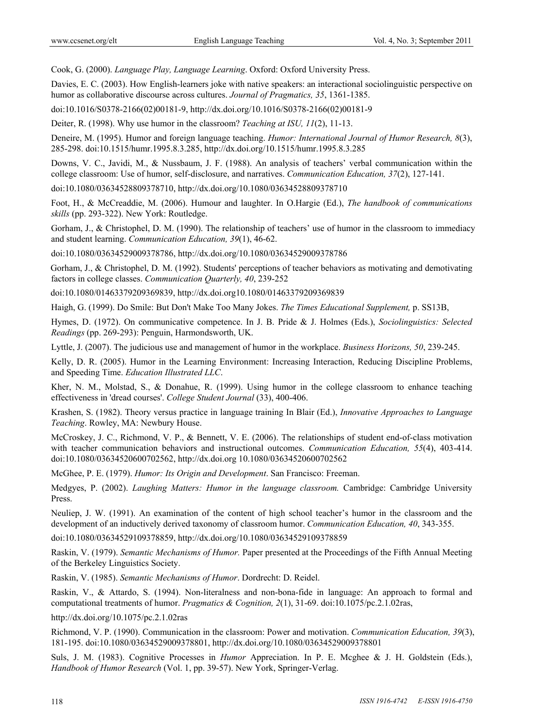Cook, G. (2000). *Language Play, Language Learning*. Oxford: Oxford University Press.

Davies, E. C. (2003). How English-learners joke with native speakers: an interactional sociolinguistic perspective on humor as collaborative discourse across cultures. *Journal of Pragmatics, 35*, 1361-1385.

doi:10.1016/S0378-2166(02)00181-9, http://dx.doi.org/10.1016/S0378-2166(02)00181-9

Deiter, R. (1998). Why use humor in the classroom? *Teaching at ISU, 11*(2), 11-13.

Deneire, M. (1995). Humor and foreign language teaching. *Humor: International Journal of Humor Research, 8*(3), 285-298. doi:10.1515/humr.1995.8.3.285, http://dx.doi.org/10.1515/humr.1995.8.3.285

Downs, V. C., Javidi, M., & Nussbaum, J. F. (1988). An analysis of teachers' verbal communication within the college classroom: Use of humor, self-disclosure, and narratives. *Communication Education, 37*(2), 127-141.

doi:10.1080/03634528809378710, http://dx.doi.org/10.1080/03634528809378710

Foot, H., & McCreaddie, M. (2006). Humour and laughter. In O.Hargie (Ed.), *The handbook of communications skills* (pp. 293-322). New York: Routledge.

Gorham, J., & Christophel, D. M. (1990). The relationship of teachers' use of humor in the classroom to immediacy and student learning. *Communication Education, 39*(1), 46-62.

doi:10.1080/03634529009378786, http://dx.doi.org/10.1080/03634529009378786

Gorham, J., & Christophel, D. M. (1992). Students' perceptions of teacher behaviors as motivating and demotivating factors in college classes. *Communication Quarterly, 40*, 239-252

doi:10.1080/01463379209369839, http://dx.doi.org10.1080/01463379209369839

Haigh, G. (1999). Do Smile: But Don't Make Too Many Jokes. *The Times Educational Supplement,* p. SS13B,

Hymes, D. (1972). On communicative competence. In J. B. Pride & J. Holmes (Eds.), *Sociolinguistics: Selected Readings* (pp. 269-293): Penguin, Harmondsworth, UK.

Lyttle, J. (2007). The judicious use and management of humor in the workplace. *Business Horizons, 50*, 239-245.

Kelly, D. R. (2005). Humor in the Learning Environment: Increasing Interaction, Reducing Discipline Problems, and Speeding Time. *Education Illustrated LLC*.

Kher, N. M., Molstad, S., & Donahue, R. (1999). Using humor in the college classroom to enhance teaching effectiveness in 'dread courses'. *College Student Journal* (33), 400-406.

Krashen, S. (1982). Theory versus practice in language training In Blair (Ed.), *Innovative Approaches to Language Teaching*. Rowley, MA: Newbury House.

McCroskey, J. C., Richmond, V. P., & Bennett, V. E. (2006). The relationships of student end-of-class motivation with teacher communication behaviors and instructional outcomes. *Communication Education, 55*(4), 403-414. doi:10.1080/03634520600702562, http://dx.doi.org 10.1080/03634520600702562

McGhee, P. E. (1979). *Humor: Its Origin and Development*. San Francisco: Freeman.

Medgyes, P. (2002). *Laughing Matters: Humor in the language classroom.* Cambridge: Cambridge University Press.

Neuliep, J. W. (1991). An examination of the content of high school teacher's humor in the classroom and the development of an inductively derived taxonomy of classroom humor. *Communication Education, 40*, 343-355.

doi:10.1080/03634529109378859, http://dx.doi.org/10.1080/03634529109378859

Raskin, V. (1979). *Semantic Mechanisms of Humor.* Paper presented at the Proceedings of the Fifth Annual Meeting of the Berkeley Linguistics Society.

Raskin, V. (1985). *Semantic Mechanisms of Humor*. Dordrecht: D. Reidel.

Raskin, V., & Attardo, S. (1994). Non-literalness and non-bona-fide in language: An approach to formal and computational treatments of humor. *Pragmatics & Cognition, 2*(1), 31-69. doi:10.1075/pc.2.1.02ras,

http://dx.doi.org/10.1075/pc.2.1.02ras

Richmond, V. P. (1990). Communication in the classroom: Power and motivation. *Communication Education, 39*(3), 181-195. doi:10.1080/03634529009378801, http://dx.doi.org/10.1080/03634529009378801

Suls, J. M. (1983). Cognitive Processes in *Humor* Appreciation. In P. E. Mcghee & J. H. Goldstein (Eds.), *Handbook of Humor Research* (Vol. 1, pp. 39-57). New York, Springer-Verlag.